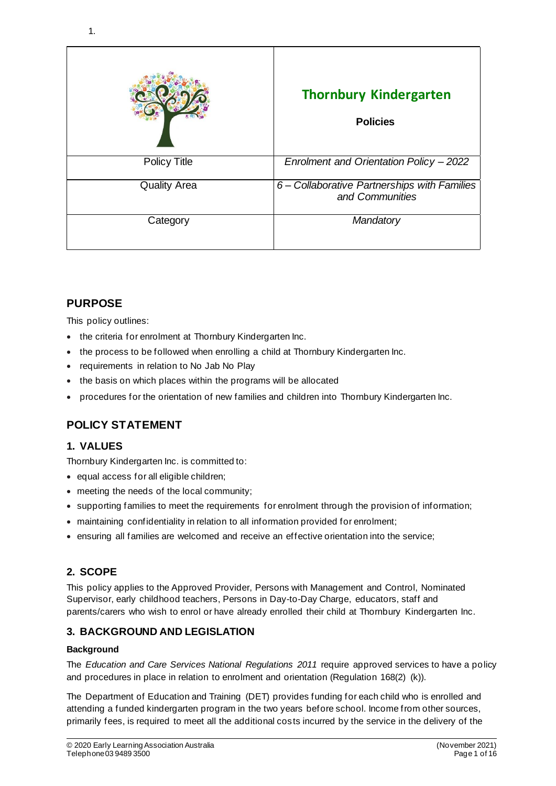|                     | <b>Thornbury Kindergarten</b><br><b>Policies</b>                |
|---------------------|-----------------------------------------------------------------|
| <b>Policy Title</b> | Enrolment and Orientation Policy - 2022                         |
| <b>Quality Area</b> | 6 – Collaborative Partnerships with Families<br>and Communities |
| Category            | Mandatory                                                       |

## **PURPOSE**

This policy outlines:

- the criteria for enrolment at Thornbury Kindergarten Inc.
- the process to be followed when enrolling a child at Thornbury Kindergarten Inc.
- requirements in relation to No Jab No Play
- the basis on which places within the programs will be allocated
- procedures for the orientation of new families and children into Thornbury Kindergarten Inc.

# **POLICY STATEMENT**

### **1. VALUES**

Thornbury Kindergarten Inc. is committed to:

- equal access for all eligible children;
- meeting the needs of the local community;
- supporting families to meet the requirements for enrolment through the provision of information;
- maintaining confidentiality in relation to all information provided for enrolment;
- ensuring all families are welcomed and receive an effective orientation into the service;

## **2. SCOPE**

This policy applies to the Approved Provider, Persons with Management and Control, Nominated Supervisor, early childhood teachers, Persons in Day-to-Day Charge, educators, staff and parents/carers who wish to enrol or have already enrolled their child at Thornbury Kindergarten Inc.

## **3. BACKGROUND AND LEGISLATION**

### **Background**

The *Education and Care Services National Regulations 2011* require approved services to have a policy and procedures in place in relation to enrolment and orientation (Regulation 168(2) (k)).

The Department of Education and Training (DET) provides funding for each child who is enrolled and attending a funded kindergarten program in the two years before school. Income from other sources, primarily fees, is required to meet all the additional costs incurred by the service in the delivery of the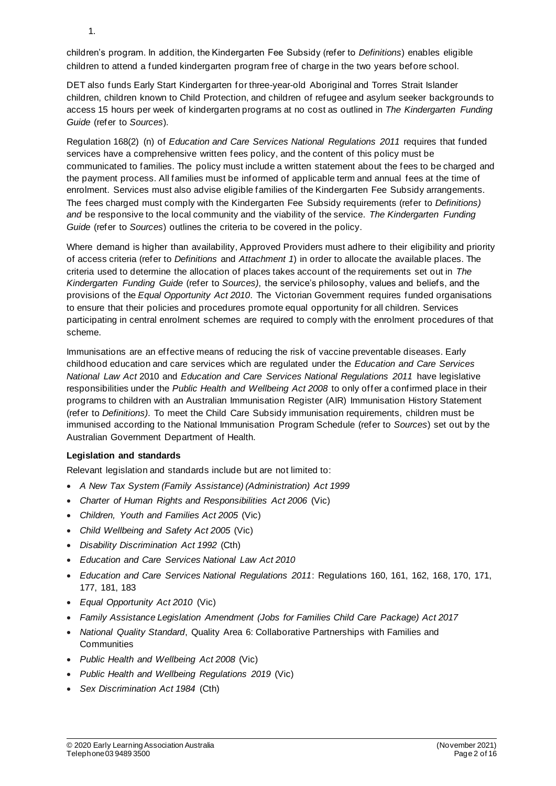1.

children's program. In addition, the Kindergarten Fee Subsidy (refer to *Definitions*) enables eligible children to attend a funded kindergarten program free of charge in the two years before school.

DET also funds Early Start Kindergarten for three-year-old Aboriginal and Torres Strait Islander children, children known to Child Protection, and children of refugee and asylum seeker backgrounds to access 15 hours per week of kindergarten programs at no cost as outlined in *The Kindergarten Funding Guide* (refer to *Sources*).

Regulation 168(2) (n) of *Education and Care Services National Regulations 2011* requires that funded services have a comprehensive written fees policy, and the content of this policy must be communicated to families. The policy must include a written statement about the fees to be charged and the payment process. All families must be informed of applicable term and annual fees at the time of enrolment. Services must also advise eligible families of the Kindergarten Fee Subsidy arrangements. The fees charged must comply with the Kindergarten Fee Subsidy requirements (refer to *Definitions) and* be responsive to the local community and the viability of the service. *The Kindergarten Funding Guide* (refer to *Sources*) outlines the criteria to be covered in the policy.

Where demand is higher than availability, Approved Providers must adhere to their eligibility and priority of access criteria (refer to *Definitions* and *Attachment 1*) in order to allocate the available places. The criteria used to determine the allocation of places takes account of the requirements set out in *The Kindergarten Funding Guide* (refer to *Sources)*, the service's philosophy, values and beliefs, and the provisions of the *Equal Opportunity Act 2010*. The Victorian Government requires funded organisations to ensure that their policies and procedures promote equal opportunity for all children. Services participating in central enrolment schemes are required to comply with the enrolment procedures of that scheme.

Immunisations are an effective means of reducing the risk of vaccine preventable diseases. Early childhood education and care services which are regulated under the *Education and Care Services National Law Act* 2010 and *Education and Care Services National Regulations 2011* have legislative responsibilities under the *Public Health and Wellbeing Act 2008* to only offer a confirmed place in their programs to children with an Australian Immunisation Register (AIR) Immunisation History Statement (refer to *Definitions)*. To meet the Child Care Subsidy immunisation requirements, children must be immunised according to the National Immunisation Program Schedule (refer to *Sources*) set out by the Australian Government Department of Health.

### **Legislation and standards**

Relevant legislation and standards include but are not limited to:

- *A New Tax System (Family Assistance) (Administration) Act 1999*
- *Charter of Human Rights and Responsibilities Act 2006* (Vic)
- *Children, Youth and Families Act 2005* (Vic)
- *Child Wellbeing and Safety Act 2005* (Vic)
- *Disability Discrimination Act 1992* (Cth)
- *Education and Care Services National Law Act 2010*
- *Education and Care Services National Regulations 2011*: Regulations 160, 161, 162, 168, 170, 171, 177, 181, 183
- *Equal Opportunity Act 2010* (Vic)
- *Family Assistance Legislation Amendment (Jobs for Families Child Care Package) Act 2017*
- *National Quality Standard*, Quality Area 6: Collaborative Partnerships with Families and **Communities**
- *Public Health and Wellbeing Act 2008* (Vic)
- *Public Health and Wellbeing Regulations 2019* (Vic)
- *Sex Discrimination Act 1984* (Cth)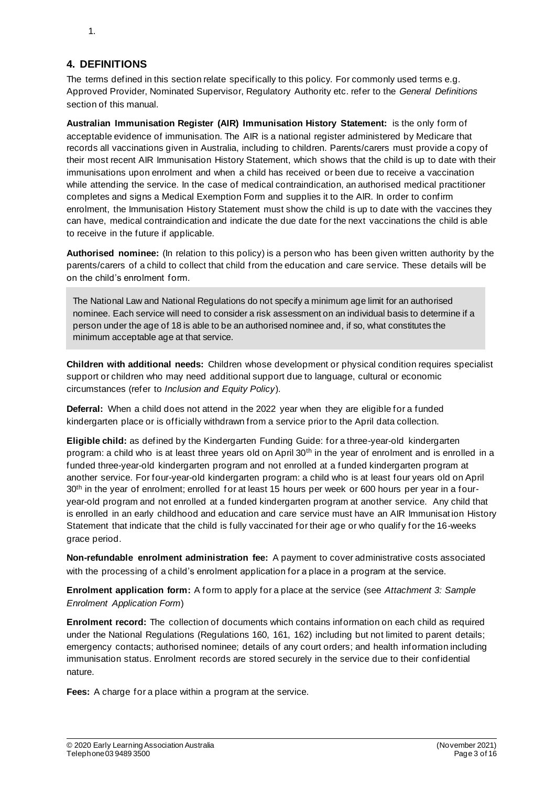### **4. DEFINITIONS**

The terms defined in this section relate specifically to this policy. For commonly used terms e.g. Approved Provider, Nominated Supervisor, Regulatory Authority etc. refer to the *General Definitions* section of this manual.

**Australian Immunisation Register (AIR) Immunisation History Statement:** is the only form of acceptable evidence of immunisation. The AIR is a national register administered by Medicare that records all vaccinations given in Australia, including to children. Parents/carers must provide a copy of their most recent AIR Immunisation History Statement, which shows that the child is up to date with their immunisations upon enrolment and when a child has received or been due to receive a vaccination while attending the service. In the case of medical contraindication, an authorised medical practitioner completes and signs a Medical Exemption Form and supplies it to the AIR. In order to confirm enrolment, the Immunisation History Statement must show the child is up to date with the vaccines they can have, medical contraindication and indicate the due date for the next vaccinations the child is able to receive in the future if applicable.

**Authorised nominee:** (In relation to this policy) is a person who has been given written authority by the parents/carers of a child to collect that child from the education and care service. These details will be on the child's enrolment form.

The National Law and National Regulations do not specify a minimum age limit for an authorised nominee. Each service will need to consider a risk assessment on an individual basis to determine if a person under the age of 18 is able to be an authorised nominee and, if so, what constitutes the minimum acceptable age at that service.

**Children with additional needs:** Children whose development or physical condition requires specialist support or children who may need additional support due to language, cultural or economic circumstances (refer to *Inclusion and Equity Policy*).

**Deferral:** When a child does not attend in the 2022 year when they are eligible for a funded kindergarten place or is officially withdrawn from a service prior to the April data collection.

**Eligible child:** as defined by the Kindergarten Funding Guide: for a three-year-old kindergarten program: a child who is at least three years old on April 30<sup>th</sup> in the year of enrolment and is enrolled in a funded three-year-old kindergarten program and not enrolled at a funded kindergarten program at another service. For four-year-old kindergarten program: a child who is at least four years old on April 30<sup>th</sup> in the year of enrolment; enrolled for at least 15 hours per week or 600 hours per year in a fouryear-old program and not enrolled at a funded kindergarten program at another service. Any child that is enrolled in an early childhood and education and care service must have an AIR Immunisat ion History Statement that indicate that the child is fully vaccinated for their age or who qualify for the 16-weeks grace period.

**Non-refundable enrolment administration fee:** A payment to cover administrative costs associated with the processing of a child's enrolment application for a place in a program at the service.

**Enrolment application form:** A form to apply for a place at the service (see *Attachment 3: Sample Enrolment Application Form*)

**Enrolment record:** The collection of documents which contains information on each child as required under the National Regulations (Regulations 160, 161, 162) including but not limited to parent details; emergency contacts; authorised nominee; details of any court orders; and health information including immunisation status. Enrolment records are stored securely in the service due to their confidential nature.

**Fees:** A charge for a place within a program at the service.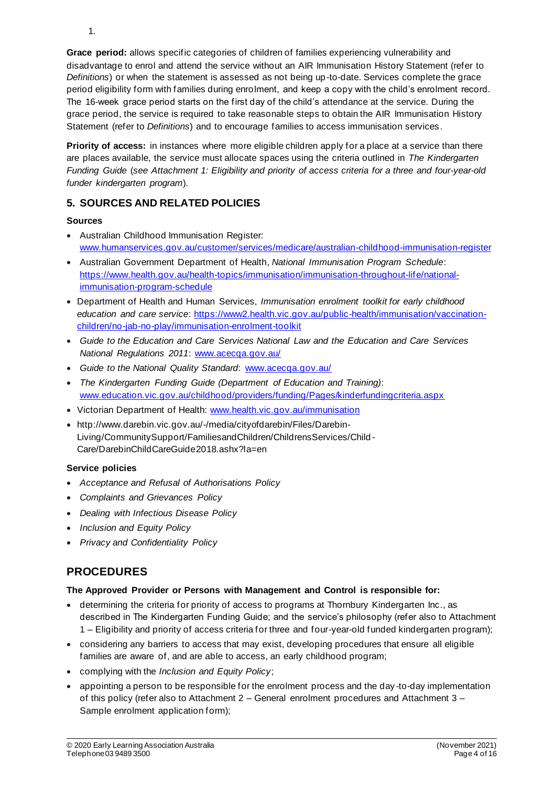**Grace period:** allows specific categories of children of families experiencing vulnerability and disadvantage to enrol and attend the service without an AIR Immunisation History Statement (refer to *Definitions*) or when the statement is assessed as not being up-to-date. Services complete the grace period eligibility form with families during enrolment, and keep a copy with the child's enrolment record. The 16-week grace period starts on the first day of the child's attendance at the service. During the grace period, the service is required to take reasonable steps to obtain the AIR Immunisation History Statement (refer to *Definitions*) and to encourage families to access immunisation services.

**Priority of access:** in instances where more eligible children apply for a place at a service than there are places available, the service must allocate spaces using the criteria outlined in *The Kindergarten Funding Guide* (*see Attachment 1: Eligibility and priority of access criteria for a three and four-year-old funder kindergarten program*).

# **5. SOURCES AND RELATED POLICIES**

### **Sources**

- Australian Childhood Immunisation Register: www.humanservices.gov.au/customer/services/medicare/australian-childhood-immunisation-register
- Australian Government Department of Health, *National Immunisation Program Schedule*: https://www.health.gov.au/health-topics/immunisation/immunisation-throughout-life/nationalimmunisation-program-schedule
- Department of Health and Human Services, *Immunisation enrolment toolkit for early childhood education and care service*: https://www2.health.vic.gov.au/public-health/immunisation/vaccinationchildren/no-jab-no-play/immunisation-enrolment-toolkit
- *Guide to the Education and Care Services National Law and the Education and Care Services National Regulations 2011*: www.acecqa.gov.au/
- *Guide to the National Quality Standard*: www.acecqa.gov.au/
- *The Kindergarten Funding Guide (Department of Education and Training)*: www.education.vic.gov.au/childhood/providers/funding/Pages/kinderfundingcriteria.aspx
- Victorian Department of Health: www.health.vic.gov.au/immunisation
- http://www.darebin.vic.gov.au/-/media/cityofdarebin/Files/Darebin-Living/CommunitySupport/FamiliesandChildren/ChildrensServices/Child - Care/DarebinChildCareGuide2018.ashx?la=en

### **Service policies**

- *Acceptance and Refusal of Authorisations Policy*
- *Complaints and Grievances Policy*
- *Dealing with Infectious Disease Policy*
- *Inclusion and Equity Policy*
- *Privacy and Confidentiality Policy*

# **PROCEDURES**

### **The Approved Provider or Persons with Management and Control is responsible for:**

- determining the criteria for priority of access to programs at Thornbury Kindergarten Inc., as described in The Kindergarten Funding Guide; and the service's philosophy (refer also to Attachment 1 – Eligibility and priority of access criteria for three and four-year-old funded kindergarten program);
- considering any barriers to access that may exist, developing procedures that ensure all eligible families are aware of, and are able to access, an early childhood program;
- complying with the *Inclusion and Equity Policy*;
- appointing a person to be responsible for the enrolment process and the day-to-day implementation of this policy (refer also to Attachment 2 – General enrolment procedures and Attachment 3 – Sample enrolment application form);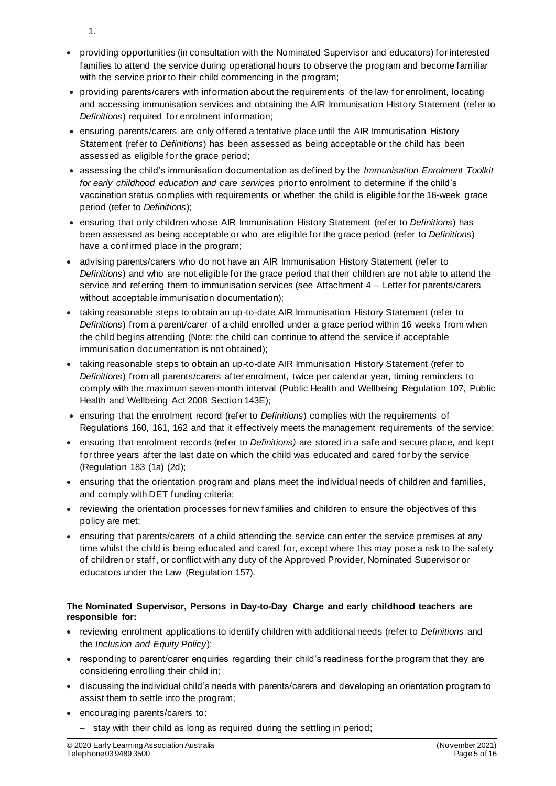- 1.
- providing opportunities (in consultation with the Nominated Supervisor and educators) for interested families to attend the service during operational hours to observe the program and become familiar with the service prior to their child commencing in the program;
- providing parents/carers with information about the requirements of the law for enrolment, locating and accessing immunisation services and obtaining the AIR Immunisation History Statement (refer to *Definitions*) required for enrolment information;
- ensuring parents/carers are only offered a tentative place until the AIR Immunisation History Statement (refer to *Definitions*) has been assessed as being acceptable or the child has been assessed as eligible for the grace period;
- assessing the child's immunisation documentation as defined by the *Immunisation Enrolment Toolkit for early childhood education and care services* prior to enrolment to determine if the child's vaccination status complies with requirements or whether the child is eligible for the 16-week grace period (refer to *Definitions*);
- ensuring that only children whose AIR Immunisation History Statement (refer to *Definitions*) has been assessed as being acceptable or who are eligible for the grace period (refer to *Definitions*) have a confirmed place in the program;
- advising parents/carers who do not have an AIR Immunisation History Statement (refer to *Definitions*) and who are not eligible for the grace period that their children are not able to attend the service and referring them to immunisation services (see Attachment 4 – Letter for parents/carers without acceptable immunisation documentation);
- taking reasonable steps to obtain an up-to-date AIR Immunisation History Statement (refer to *Definitions*) from a parent/carer of a child enrolled under a grace period within 16 weeks from when the child begins attending (Note: the child can continue to attend the service if acceptable immunisation documentation is not obtained);
- taking reasonable steps to obtain an up-to-date AIR Immunisation History Statement (refer to *Definitions*) from all parents/carers after enrolment, twice per calendar year, timing reminders to comply with the maximum seven-month interval (Public Health and Wellbeing Regulation 107, Public Health and Wellbeing Act 2008 Section 143E);
- ensuring that the enrolment record (refer to *Definitions*) complies with the requirements of Regulations 160, 161, 162 and that it effectively meets the management requirements of the service;
- ensuring that enrolment records (refer to *Definitions)* are stored in a safe and secure place, and kept for three years after the last date on which the child was educated and cared for by the service (Regulation 183 (1a) (2d);
- ensuring that the orientation program and plans meet the individual needs of children and families, and comply with DET funding criteria;
- reviewing the orientation processes for new families and children to ensure the objectives of this policy are met;
- ensuring that parents/carers of a child attending the service can enter the service premises at any time whilst the child is being educated and cared for, except where this may pose a risk to the safety of children or staff, or conflict with any duty of the Approved Provider, Nominated Supervisor or educators under the Law (Regulation 157).

### **The Nominated Supervisor, Persons in Day-to-Day Charge and early childhood teachers are responsible for:**

- reviewing enrolment applications to identify children with additional needs (refer to *Definitions* and the *Inclusion and Equity Policy*);
- responding to parent/carer enquiries regarding their child's readiness for the program that they are considering enrolling their child in;
- discussing the individual child's needs with parents/carers and developing an orientation program to assist them to settle into the program;
- encouraging parents/carers to:
	- − stay with their child as long as required during the settling in period;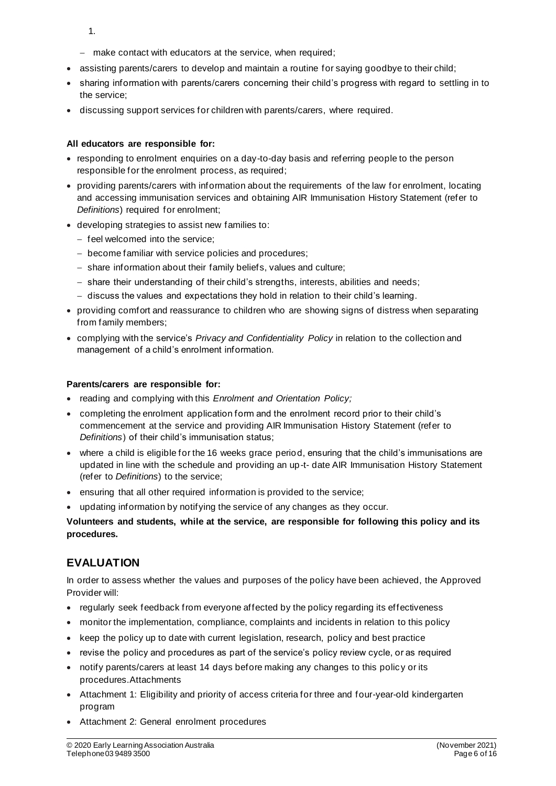- 1.
- − make contact with educators at the service, when required;
- assisting parents/carers to develop and maintain a routine for saying goodbye to their child;
- sharing information with parents/carers concerning their child's progress with regard to settling in to the service;
- discussing support services for children with parents/carers, where required.

#### **All educators are responsible for:**

- responding to enrolment enquiries on a day-to-day basis and referring people to the person responsible for the enrolment process, as required;
- providing parents/carers with information about the requirements of the law for enrolment, locating and accessing immunisation services and obtaining AIR Immunisation History Statement (refer to *Definitions*) required for enrolment;
- developing strategies to assist new families to:
	- − feel welcomed into the service;
	- − become familiar with service policies and procedures;
	- − share information about their family beliefs, values and culture;
	- − share their understanding of their child's strengths, interests, abilities and needs;
	- − discuss the values and expectations they hold in relation to their child's learning.
- providing comfort and reassurance to children who are showing signs of distress when separating from family members;
- complying with the service's *Privacy and Confidentiality Policy* in relation to the collection and management of a child's enrolment information.

#### **Parents/carers are responsible for:**

- reading and complying with this *Enrolment and Orientation Policy;*
- completing the enrolment application form and the enrolment record prior to their child's commencement at the service and providing AIR Immunisation History Statement (refer to *Definitions*) of their child's immunisation status;
- where a child is eligible for the 16 weeks grace period, ensuring that the child's immunisations are updated in line with the schedule and providing an up-t- date AIR Immunisation History Statement (refer to *Definitions*) to the service;
- ensuring that all other required information is provided to the service;
- updating information by notifying the service of any changes as they occur.

### **Volunteers and students, while at the service, are responsible for following this policy and its procedures.**

# **EVALUATION**

In order to assess whether the values and purposes of the policy have been achieved, the Approved Provider will:

- regularly seek feedback from everyone affected by the policy regarding its effectiveness
- monitor the implementation, compliance, complaints and incidents in relation to this policy
- keep the policy up to date with current legislation, research, policy and best practice
- revise the policy and procedures as part of the service's policy review cycle, or as required
- notify parents/carers at least 14 days before making any changes to this policy or its procedures.Attachments
- Attachment 1: Eligibility and priority of access criteria for three and four-year-old kindergarten program
- Attachment 2: General enrolment procedures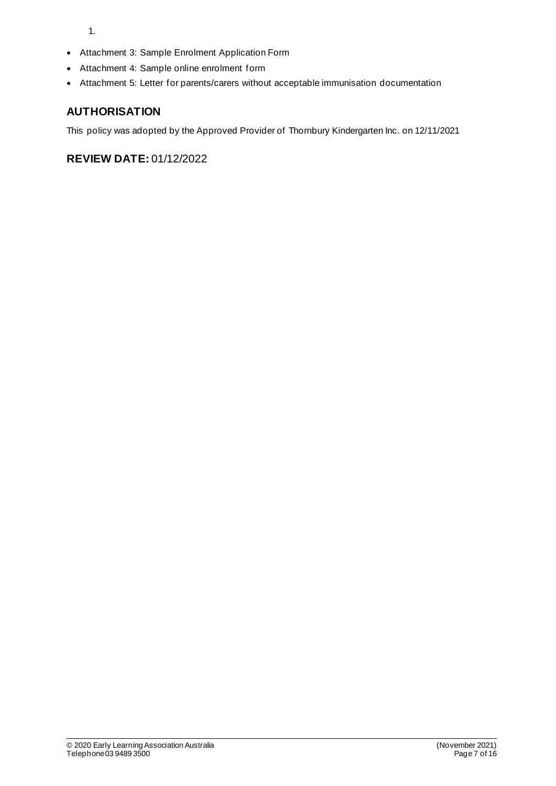1.

- Attachment 3: Sample Enrolment Application Form
- Attachment 4: Sample online enrolment form
- Attachment 5: Letter for parents/carers without acceptable immunisation documentation

## **AUTHORISATION**

This policy was adopted by the Approved Provider of Thornbury Kindergarten Inc. on 12/11/2021

**REVIEW DATE:** 01/12/2022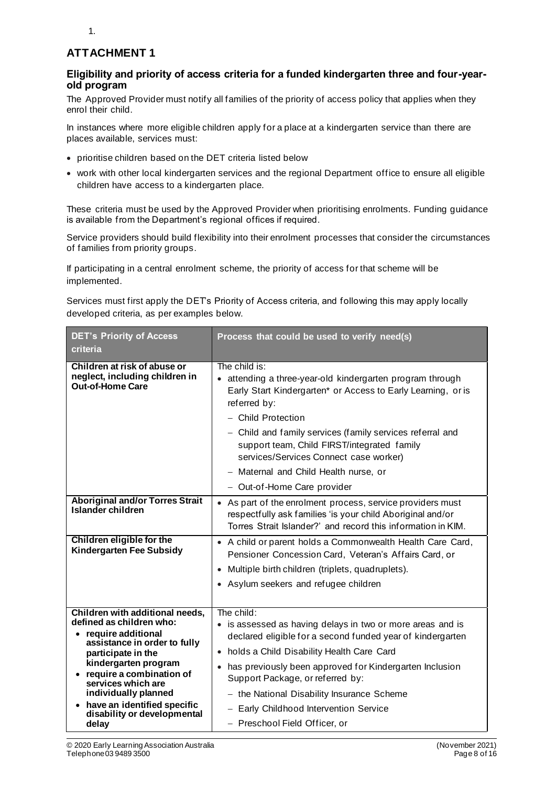## **ATTACHMENT 1**

### **Eligibility and priority of access criteria for a funded kindergarten three and four-yearold program**

The Approved Provider must notify all families of the priority of access policy that applies when they enrol their child.

In instances where more eligible children apply for a place at a kindergarten service than there are places available, services must:

- prioritise children based on the DET criteria listed below
- work with other local kindergarten services and the regional Department office to ensure all eligible children have access to a kindergarten place.

These criteria must be used by the Approved Provider when prioritising enrolments. Funding guidance is available from the Department's regional offices if required.

Service providers should build flexibility into their enrolment processes that consider the circumstances of families from priority groups.

If participating in a central enrolment scheme, the priority of access for that scheme will be implemented.

Services must first apply the DET's Priority of Access criteria, and following this may apply locally developed criteria, as per examples below.

| <b>DET's Priority of Access</b><br>criteria                                                                                                                                                                                                                                                                      | Process that could be used to verify need(s)                                                                                                                                                                                                                                                                                                                                                                  |
|------------------------------------------------------------------------------------------------------------------------------------------------------------------------------------------------------------------------------------------------------------------------------------------------------------------|---------------------------------------------------------------------------------------------------------------------------------------------------------------------------------------------------------------------------------------------------------------------------------------------------------------------------------------------------------------------------------------------------------------|
| Children at risk of abuse or<br>neglect, including children in<br>Out-of-Home Care                                                                                                                                                                                                                               | The child is:<br>attending a three-year-old kindergarten program through<br>Early Start Kindergarten* or Access to Early Learning, or is<br>referred by:<br>- Child Protection<br>- Child and family services (family services referral and<br>support team, Child FIRST/integrated family<br>services/Services Connect case worker)<br>- Maternal and Child Health nurse, or<br>- Out-of-Home Care provider  |
| <b>Aboriginal and/or Torres Strait</b><br><b>Islander children</b>                                                                                                                                                                                                                                               | • As part of the enrolment process, service providers must<br>respectfully ask families 'is your child Aboriginal and/or<br>Torres Strait Islander?' and record this information in KIM.                                                                                                                                                                                                                      |
| Children eligible for the<br><b>Kindergarten Fee Subsidy</b>                                                                                                                                                                                                                                                     | • A child or parent holds a Commonwealth Health Care Card,<br>Pensioner Concession Card, Veteran's Affairs Card, or<br>• Multiple birth children (triplets, quadruplets).<br>• Asylum seekers and refugee children                                                                                                                                                                                            |
| Children with additional needs,<br>defined as children who:<br>require additional<br>assistance in order to fully<br>participate in the<br>kindergarten program<br>require a combination of<br>services which are<br>individually planned<br>have an identified specific<br>disability or developmental<br>delay | The child:<br>• is assessed as having delays in two or more areas and is<br>declared eligible for a second funded year of kindergarten<br>• holds a Child Disability Health Care Card<br>has previously been approved for Kindergarten Inclusion<br>Support Package, or referred by:<br>- the National Disability Insurance Scheme<br>- Early Childhood Intervention Service<br>- Preschool Field Officer, or |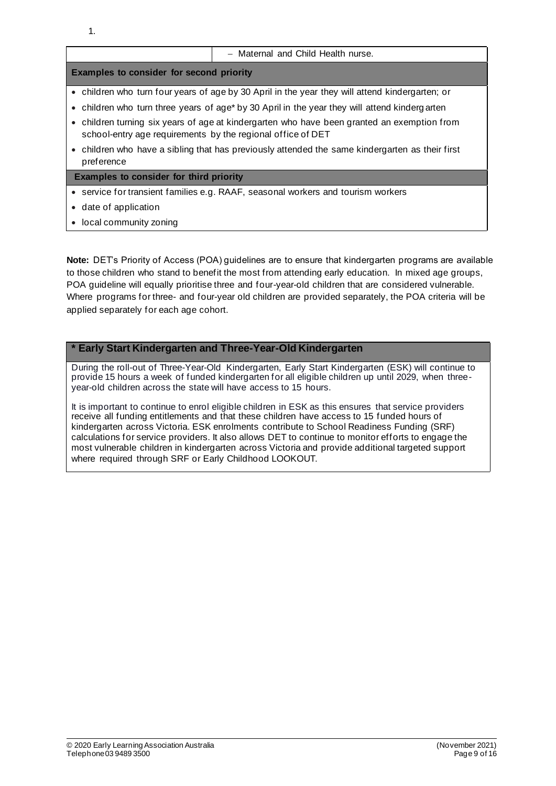|                                                                                                                                                            | - Maternal and Child Health nurse.                                                              |  |  |  |
|------------------------------------------------------------------------------------------------------------------------------------------------------------|-------------------------------------------------------------------------------------------------|--|--|--|
| <b>Examples to consider for second priority</b>                                                                                                            |                                                                                                 |  |  |  |
|                                                                                                                                                            | • children who turn four years of age by 30 April in the year they will attend kindergarten; or |  |  |  |
|                                                                                                                                                            | • children who turn three years of age* by 30 April in the year they will attend kinderg arten  |  |  |  |
| • children turning six years of age at kindergarten who have been granted an exemption from<br>school-entry age requirements by the regional office of DET |                                                                                                 |  |  |  |
| preference                                                                                                                                                 | • children who have a sibling that has previously attended the same kindergarten as their first |  |  |  |
| <b>Examples to consider for third priority</b>                                                                                                             |                                                                                                 |  |  |  |
|                                                                                                                                                            | • service for transient families e.g. RAAF, seasonal workers and tourism workers                |  |  |  |
| • date of application                                                                                                                                      |                                                                                                 |  |  |  |
| • local community zoning                                                                                                                                   |                                                                                                 |  |  |  |

**Note:** DET's Priority of Access (POA) guidelines are to ensure that kindergarten programs are available to those children who stand to benefit the most from attending early education. In mixed age groups, POA guideline will equally prioritise three and four-year-old children that are considered vulnerable. Where programs for three- and four-year old children are provided separately, the POA criteria will be applied separately for each age cohort.

### **\* Early Start Kindergarten and Three-Year-Old Kindergarten**

During the roll-out of Three-Year-Old Kindergarten, Early Start Kindergarten (ESK) will continue to provide 15 hours a week of funded kindergarten for all eligible children up until 2029, when threeyear-old children across the state will have access to 15 hours.

It is important to continue to enrol eligible children in ESK as this ensures that service providers receive all funding entitlements and that these children have access to 15 funded hours of kindergarten across Victoria. ESK enrolments contribute to School Readiness Funding (SRF) calculations for service providers. It also allows DET to continue to monitor efforts to engage the most vulnerable children in kindergarten across Victoria and provide additional targeted support where required through SRF or Early Childhood LOOKOUT.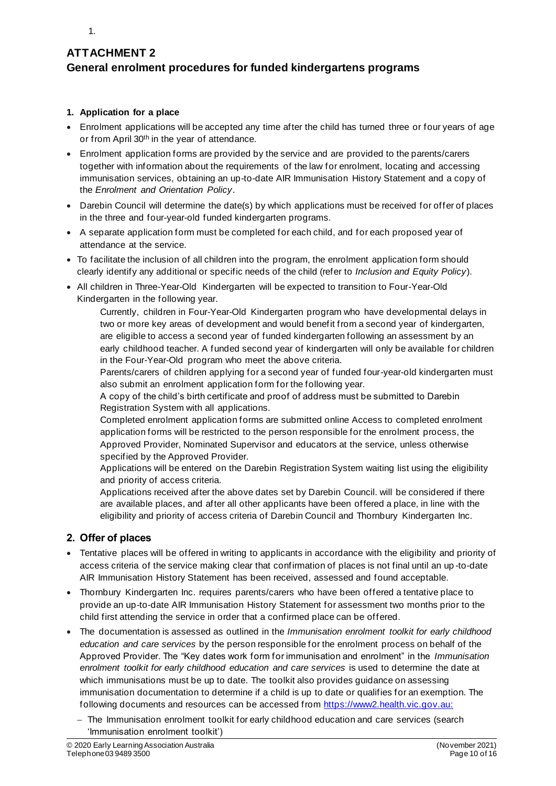

# **ATTACHMENT 2 General enrolment procedures for funded kindergartens programs**

### **1. Application for a place**

- Enrolment applications will be accepted any time after the child has turned three or four years of age or from April 30<sup>th</sup> in the year of attendance.
- Enrolment application forms are provided by the service and are provided to the parents/carers together with information about the requirements of the law for enrolment, locating and accessing immunisation services, obtaining an up-to-date AIR Immunisation History Statement and a copy of the *Enrolment and Orientation Policy*.
- Darebin Council will determine the date(s) by which applications must be received for offer of places in the three and four-year-old funded kindergarten programs.
- A separate application form must be completed for each child, and for each proposed year of attendance at the service.
- To facilitate the inclusion of all children into the program, the enrolment application form should clearly identify any additional or specific needs of the child (refer to *Inclusion and Equity Policy*).
- All children in Three-Year-Old Kindergarten will be expected to transition to Four-Year-Old Kindergarten in the following year.

Currently, children in Four-Year-Old Kindergarten program who have developmental delays in two or more key areas of development and would benefit from a second year of kindergarten, are eligible to access a second year of funded kindergarten following an assessment by an early childhood teacher. A funded second year of kindergarten will only be available for children in the Four-Year-Old program who meet the above criteria.

Parents/carers of children applying for a second year of funded four-year-old kindergarten must also submit an enrolment application form for the following year.

A copy of the child's birth certificate and proof of address must be submitted to Darebin Registration System with all applications.

Completed enrolment application forms are submitted online Access to completed enrolment application forms will be restricted to the person responsible for the enrolment process, the Approved Provider, Nominated Supervisor and educators at the service, unless otherwise specified by the Approved Provider.

Applications will be entered on the Darebin Registration System waiting list using the eligibility and priority of access criteria.

Applications received after the above dates set by Darebin Council. will be considered if there are available places, and after all other applicants have been offered a place, in line with the eligibility and priority of access criteria of Darebin Council and Thornbury Kindergarten Inc.

### **2. Offer of places**

- Tentative places will be offered in writing to applicants in accordance with the eligibility and priority of access criteria of the service making clear that confirmation of places is not final until an up -to-date AIR Immunisation History Statement has been received, assessed and found acceptable.
- Thornbury Kindergarten Inc. requires parents/carers who have been offered a tentative place to provide an up-to-date AIR Immunisation History Statement for assessment two months prior to the child first attending the service in order that a confirmed place can be offered.
- The documentation is assessed as outlined in the *Immunisation enrolment toolkit for early childhood education and care services* by the person responsible for the enrolment process on behalf of the Approved Provider. The "Key dates work form for immunisation and enrolment" in the *Immunisation enrolment toolkit for early childhood education and care services* is used to determine the date at which immunisations must be up to date. The toolkit also provides guidance on assessing immunisation documentation to determine if a child is up to date or qualifies for an exemption. The following documents and resources can be accessed from https://www2.health.vic.gov.au:
	- − The Immunisation enrolment toolkit for early childhood education and care services (search 'Immunisation enrolment toolkit')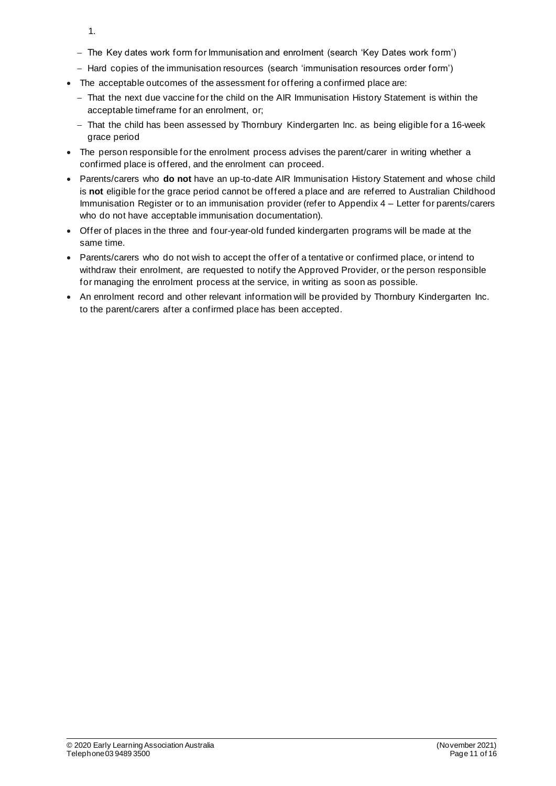- 1.
- − The Key dates work form for Immunisation and enrolment (search 'Key Dates work form')
- − Hard copies of the immunisation resources (search 'immunisation resources order form')
- The acceptable outcomes of the assessment for offering a confirmed place are:
	- − That the next due vaccine for the child on the AIR Immunisation History Statement is within the acceptable timeframe for an enrolment, or;
	- − That the child has been assessed by Thornbury Kindergarten Inc. as being eligible for a 16-week grace period
- The person responsible for the enrolment process advises the parent/carer in writing whether a confirmed place is offered, and the enrolment can proceed.
- Parents/carers who **do not** have an up-to-date AIR Immunisation History Statement and whose child is **not** eligible for the grace period cannot be offered a place and are referred to Australian Childhood Immunisation Register or to an immunisation provider (refer to Appendix 4 – Letter for parents/carers who do not have acceptable immunisation documentation).
- Offer of places in the three and four-year-old funded kindergarten programs will be made at the same time.
- Parents/carers who do not wish to accept the offer of a tentative or confirmed place, or intend to withdraw their enrolment, are requested to notify the Approved Provider, or the person responsible for managing the enrolment process at the service, in writing as soon as possible.
- An enrolment record and other relevant information will be provided by Thornbury Kindergarten Inc. to the parent/carers after a confirmed place has been accepted.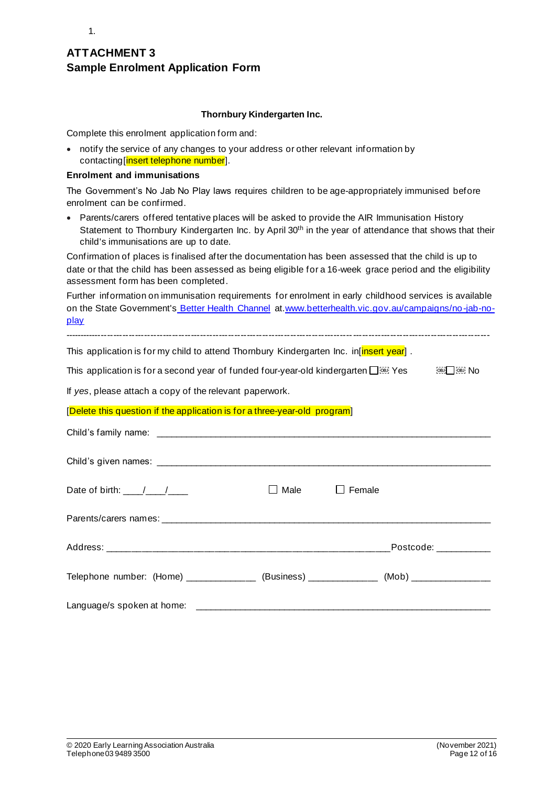# **ATTACHMENT 3 Sample Enrolment Application Form**

#### **Thornbury Kindergarten Inc.**

Complete this enrolment application form and:

• notify the service of any changes to your address or other relevant information by contacting[insert telephone number].

#### **Enrolment and immunisations**

1.

The Government's No Jab No Play laws requires children to be age-appropriately immunised before enrolment can be confirmed.

• Parents/carers offered tentative places will be asked to provide the AIR Immunisation History Statement to Thornbury Kindergarten Inc. by April 30<sup>th</sup> in the year of attendance that shows that their child's immunisations are up to date.

Confirmation of places is finalised after the documentation has been assessed that the child is up to date or that the child has been assessed as being eligible for a 16-week grace period and the eligibility assessment form has been completed.

Further information on immunisation requirements for enrolment in early childhood services is available on the State Government's Better Health Channel at.www.betterhealth.vic.gov.au/campaigns/no-jab-noplay

| This application is for my child to attend Thornbury Kindergarten Inc. in [insert year].          |             |                       |  |  |  |  |
|---------------------------------------------------------------------------------------------------|-------------|-----------------------|--|--|--|--|
| No @ This application is for a second year of funded four-year-old kindergarten D الشَّيْئَةِ Yes |             |                       |  |  |  |  |
| If yes, please attach a copy of the relevant paperwork.                                           |             |                       |  |  |  |  |
| [Delete this question if the application is for a three-year-old program]                         |             |                       |  |  |  |  |
|                                                                                                   |             |                       |  |  |  |  |
|                                                                                                   |             |                       |  |  |  |  |
| Date of birth: $\frac{1}{\sqrt{1-\frac{1}{2}}}$                                                   | $\Box$ Male | Female                |  |  |  |  |
|                                                                                                   |             |                       |  |  |  |  |
|                                                                                                   |             | Postcode: ___________ |  |  |  |  |
| Telephone number: (Home) _____________ (Business) ___________ (Mob) ____________                  |             |                       |  |  |  |  |
|                                                                                                   |             |                       |  |  |  |  |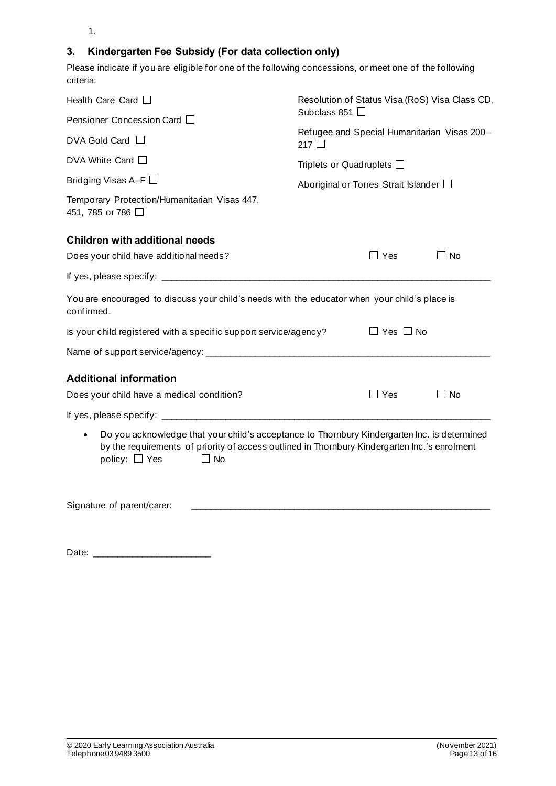1.

# **3. Kindergarten Fee Subsidy (For data collection only)**

Please indicate if you are eligible for one of the following concessions, or meet one of the following criteria:

| Health Care Card $\square$                                                                                                                                                                                                       | Resolution of Status Visa (RoS) Visa Class CD,               |            |           |  |  |
|----------------------------------------------------------------------------------------------------------------------------------------------------------------------------------------------------------------------------------|--------------------------------------------------------------|------------|-----------|--|--|
| Pensioner Concession Card □                                                                                                                                                                                                      | Subclass 851 □                                               |            |           |  |  |
| $DVA$ Gold Card $\Box$                                                                                                                                                                                                           | Refugee and Special Humanitarian Visas 200-<br>217 $\square$ |            |           |  |  |
| DVA White Card $\square$                                                                                                                                                                                                         | Triplets or Quadruplets $\square$                            |            |           |  |  |
| Bridging Visas A-F                                                                                                                                                                                                               | Aboriginal or Torres Strait Islander $\square$               |            |           |  |  |
| Temporary Protection/Humanitarian Visas 447,<br>451, 785 or 786 □                                                                                                                                                                |                                                              |            |           |  |  |
| <b>Children with additional needs</b>                                                                                                                                                                                            |                                                              |            |           |  |  |
| Does your child have additional needs?                                                                                                                                                                                           |                                                              | $\Box$ Yes | $\Box$ No |  |  |
|                                                                                                                                                                                                                                  |                                                              |            |           |  |  |
| You are encouraged to discuss your child's needs with the educator when your child's place is<br>confirmed.                                                                                                                      |                                                              |            |           |  |  |
| $\Box$ Yes $\Box$ No<br>Is your child registered with a specific support service/agency?                                                                                                                                         |                                                              |            |           |  |  |
|                                                                                                                                                                                                                                  |                                                              |            |           |  |  |
| <b>Additional information</b>                                                                                                                                                                                                    |                                                              |            |           |  |  |
| Does your child have a medical condition?                                                                                                                                                                                        |                                                              | $\Box$ Yes | $\Box$ No |  |  |
|                                                                                                                                                                                                                                  |                                                              |            |           |  |  |
| Do you acknowledge that your child's acceptance to Thornbury Kindergarten Inc. is determined<br>by the requirements of priority of access outlined in Thornbury Kindergarten Inc.'s enrolment<br>policy: $\Box$ Yes<br>$\Box$ No |                                                              |            |           |  |  |
| Signature of parent/carer:                                                                                                                                                                                                       |                                                              |            |           |  |  |

Date: \_\_\_\_\_\_\_\_\_\_\_\_\_\_\_\_\_\_\_\_\_\_\_\_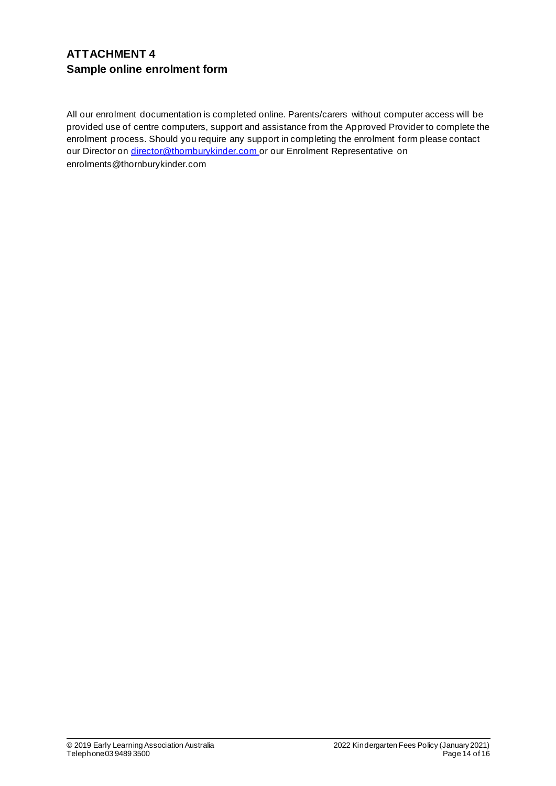# **ATTACHMENT 4 Sample online enrolment form**

All our enrolment documentation is completed online. Parents/carers without computer access will be provided use of centre computers, support and assistance from the Approved Provider to complete the enrolment process. Should you require any support in completing the enrolment form please contact our Director on director@thornburykinder.com or our Enrolment Representative on enrolments@thornburykinder.com